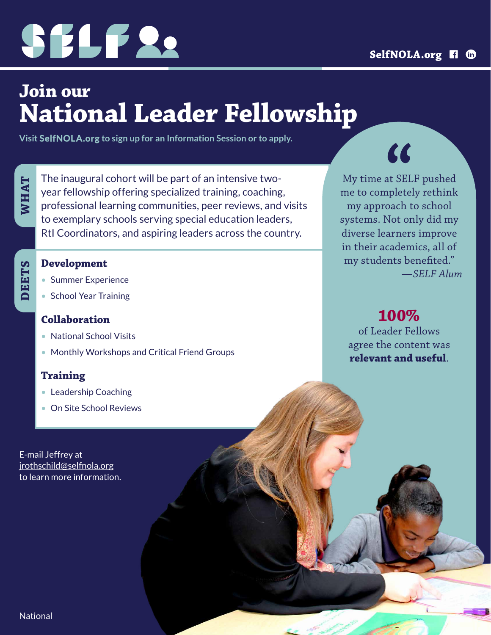

## **Join our National Leader Fellowship**

**Visit [SelfNOLA.org](https://www.selfnola.org/programs/leadership-fellowship) to sign up for an Information Session or to apply.**

**WHAT**

The inaugural cohort will be part of an intensive twoyear fellowship offering specialized training, coaching, professional learning communities, peer reviews, and visits to exemplary schools serving special education leaders, RtI Coordinators, and aspiring leaders across the country.

#### **Development**

- Summer Experience
- School Year Training

#### **Collaboration**

- National School Visits
- Monthly Workshops and Critical Friend Groups

#### **Training**

- Leadership Coaching
- On Site School Reviews

E-mail Jeffrey at [jrothschild@selfnola.org](mailto:jrothschild%40selfnola.org?subject=) to learn more information.

My time at SELF pushed me to completely rethink my approach to school systems. Not only did my diverse learners improve in their academics, all of my students benefited." *—SELF Alum*

 $\overline{\mathbf{C}}$ 

**100%**

of Leader Fellows agree the content was **relevant and useful**.

**National**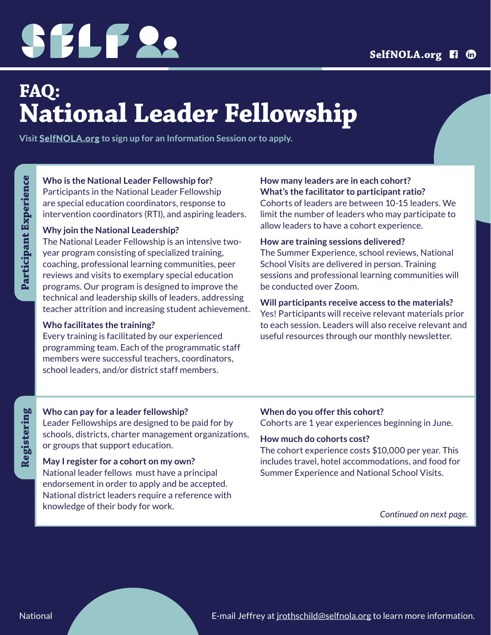# SELF 22

## **FAQ: National Leader Fellowship**

**Visit [SelfNOLA.org](https://www.selfnola.org/programs/leadership-fellowship) to sign up for an Information Session or to apply.**

#### **Who is the National Leader Fellowship for?**

Participants in the National Leader Fellowship are special education coordinators, response to intervention coordinators (RTI), and aspiring leaders.

#### **Why join the National Leadership?**

The National Leader Fellowship is an intensive twoyear program consisting of specialized training, coaching, professional learning communities, peer reviews and visits to exemplary special education programs. Our program is designed to improve the technical and leadership skills of leaders, addressing teacher attrition and increasing student achievement.

#### **Who facilitates the training?**

Every training is facilitated by our experienced programming team. Each of the programmatic staff members were successful teachers, coordinators, school leaders, and/or district staff members.

#### **How many leaders are in each cohort? What's the facilitator to participant ratio?**

Cohorts of leaders are between 10-15 leaders. We limit the number of leaders who may participate to allow leaders to have a cohort experience.

#### **How are training sessions delivered?**

The Summer Experience, school reviews, National School Visits are delivered in person. Training sessions and professional learning communities will be conducted over Zoom.

#### **Will participants receive access to the materials?**

Yes! Participants will receive relevant materials prior to each session. Leaders will also receive relevant and useful resources through our monthly newsletter.

#### **Who can pay for a leader fellowship?**

Leader Fellowships are designed to be paid for by schools, districts, charter management organizations, or groups that support education.

#### **May I register for a cohort on my own?**

National leader fellows must have a principal endorsement in order to apply and be accepted. National district leaders require a reference with knowledge of their body for work.

### **When do you offer this cohort?**

Cohorts are 1 year experiences beginning in June.

#### **How much do cohorts cost?**

The cohort experience costs \$10,000 per year. This includes travel, hotel accommodations, and food for Summer Experience and National School Visits.

*Continued on next page.*

**Registering**

Registering

E-mail Jeffrey at *irothschild@selfnola.org* to learn more information.